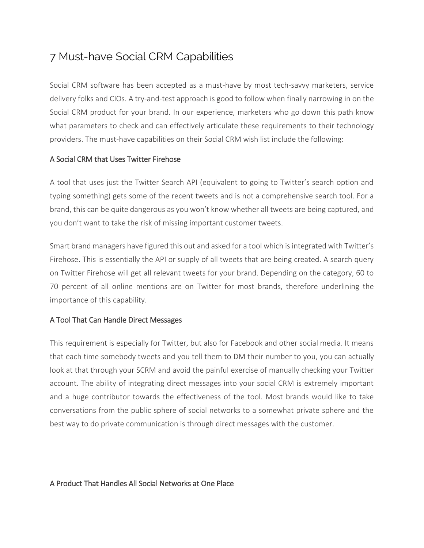# 7 Must-have Social CRM Capabilities

Social CRM software has been accepted as a must-have by most tech-savvy marketers, service delivery folks and CIOs. A try-and-test approach is good to follow when finally narrowing in on the Social CRM product for your brand. In our experience, marketers who go down this path know what parameters to check and can effectively articulate these requirements to their technology providers. The must-have capabilities on their Social CRM wish list include the following:

# A Social CRM that Uses Twitter Firehose

A tool that uses just the Twitter Search API (equivalent to going to Twitter's search option and typing something) gets some of the recent tweets and is not a comprehensive search tool. For a brand, this can be quite dangerous as you won't know whether all tweets are being captured, and you don't want to take the risk of missing important customer tweets.

Smart brand managers have figured this out and asked for a tool which is integrated with Twitter's Firehose. This is essentially the API or supply of all tweets that are being created. A search query on Twitter Firehose will get all relevant tweets for your brand. Depending on the category, 60 to 70 percent of all online mentions are on Twitter for most brands, therefore underlining the importance of this capability.

# A Tool That Can Handle Direct Messages

This requirement is especially for Twitter, but also for Facebook and other social media. It means that each time somebody tweets and you tell them to DM their number to you, you can actually look at that through your SCRM and avoid the painful exercise of manually checking your Twitter account. The ability of integrating direct messages into your social CRM is extremely important and a huge contributor towards the effectiveness of the tool. Most brands would like to take conversations from the public sphere of social networks to a somewhat private sphere and the best way to do private communication is through direct messages with the customer.

# A Product That Handles All Social Networks at One Place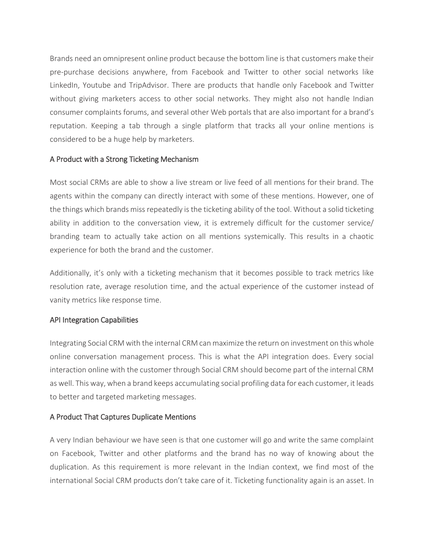Brands need an omnipresent online product because the bottom line is that customers make their pre-purchase decisions anywhere, from Facebook and Twitter to other social networks like LinkedIn, Youtube and TripAdvisor. There are products that handle only Facebook and Twitter without giving marketers access to other social networks. They might also not handle Indian consumer complaints forums, and several other Web portals that are also important for a brand's reputation. Keeping a tab through a single platform that tracks all your online mentions is considered to be a huge help by marketers.

#### A Product with a Strong Ticketing Mechanism

Most social CRMs are able to show a live stream or live feed of all mentions for their brand. The agents within the company can directly interact with some of these mentions. However, one of the things which brands miss repeatedly is the ticketing ability of the tool. Without a solid ticketing ability in addition to the conversation view, it is extremely difficult for the customer service/ branding team to actually take action on all mentions systemically. This results in a chaotic experience for both the brand and the customer.

Additionally, it's only with a ticketing mechanism that it becomes possible to track metrics like resolution rate, average resolution time, and the actual experience of the customer instead of vanity metrics like response time.

# API Integration Capabilities

Integrating Social CRM with the internal CRM can maximize the return on investment on this whole online conversation management process. This is what the API integration does. Every social interaction online with the customer through Social CRM should become part of the internal CRM as well. This way, when a brand keeps accumulating social profiling data for each customer, it leads to better and targeted marketing messages.

# A Product That Captures Duplicate Mentions

A very Indian behaviour we have seen is that one customer will go and write the same complaint on Facebook, Twitter and other platforms and the brand has no way of knowing about the duplication. As this requirement is more relevant in the Indian context, we find most of the international Social CRM products don't take care of it. Ticketing functionality again is an asset. In